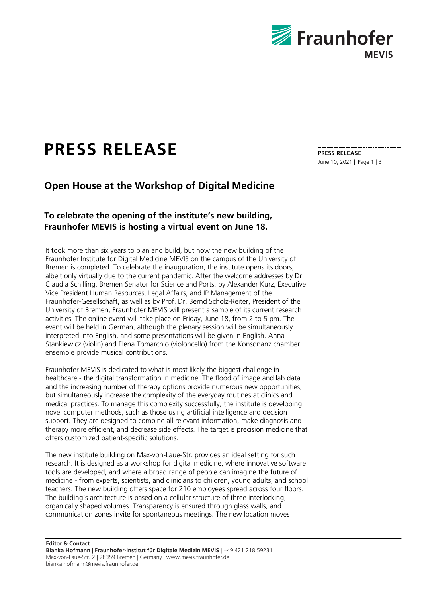

## **PRESS RELEASE**

## **Open House at the Workshop of Digital Medicine**

## **To celebrate the opening of the institute's new building, Fraunhofer MEVIS is hosting a virtual event on June 18.**

It took more than six years to plan and build, but now the new building of the Fraunhofer Institute for Digital Medicine MEVIS on the campus of the University of Bremen is completed. To celebrate the inauguration, the institute opens its doors, albeit only virtually due to the current pandemic. After the welcome addresses by Dr. Claudia Schilling, Bremen Senator for Science and Ports, by Alexander Kurz, Executive Vice President Human Resources, Legal Affairs, and IP Management of the Fraunhofer-Gesellschaft, as well as by Prof. Dr. Bernd Scholz-Reiter, President of the University of Bremen, Fraunhofer MEVIS will present a sample of its current research activities. The online event will take place on Friday, June 18, from 2 to 5 pm. The event will be held in German, although the plenary session will be simultaneously interpreted into English, and some presentations will be given in English. Anna Stankiewicz (violin) and Elena Tomarchio (violoncello) from the Konsonanz chamber ensemble provide musical contributions.

Fraunhofer MEVIS is dedicated to what is most likely the biggest challenge in healthcare - the digital transformation in medicine. The flood of image and lab data and the increasing number of therapy options provide numerous new opportunities, but simultaneously increase the complexity of the everyday routines at clinics and medical practices. To manage this complexity successfully, the institute is developing novel computer methods, such as those using artificial intelligence and decision support. They are designed to combine all relevant information, make diagnosis and therapy more efficient, and decrease side effects. The target is precision medicine that offers customized patient-specific solutions.

The new institute building on Max-von-Laue-Str. provides an ideal setting for such research. It is designed as a workshop for digital medicine, where innovative software tools are developed, and where a broad range of people can imagine the future of medicine - from experts, scientists, and clinicians to children, young adults, and school teachers. The new building offers space for 210 employees spread across four floors. The building's architecture is based on a cellular structure of three interlocking, organically shaped volumes. Transparency is ensured through glass walls, and communication zones invite for spontaneous meetings. The new location moves

**Editor & Contact Bianka Hofmann | Fraunhofer-Institut für Digitale Medizin MEVIS |** +49 421 218 59231 Max-von-Laue-Str. 2 | 28359 Bremen | Germany | www.mevis.fraunhofer.de bianka.hofmann@mevis.fraunhofer.de

**PRESS RELEASE**  June 10, 2021 || Page 1 | 3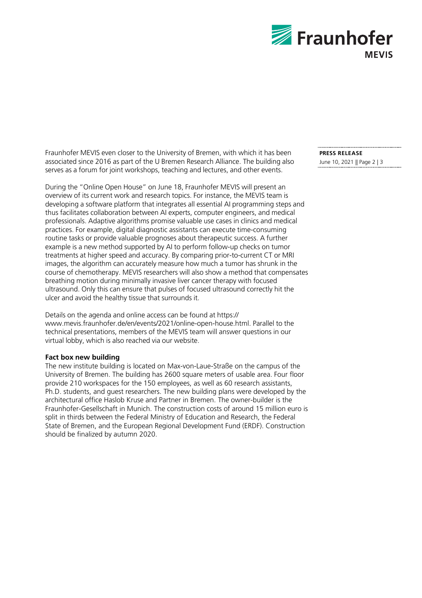

Fraunhofer MEVIS even closer to the University of Bremen, with which it has been associated since 2016 as part of the U Bremen Research Alliance. The building also serves as a forum for joint workshops, teaching and lectures, and other events.

During the "Online Open House" on June 18, Fraunhofer MEVIS will present an overview of its current work and research topics. For instance, the MEVIS team is developing a software platform that integrates all essential AI programming steps and thus facilitates collaboration between AI experts, computer engineers, and medical professionals. Adaptive algorithms promise valuable use cases in clinics and medical practices. For example, digital diagnostic assistants can execute time-consuming routine tasks or provide valuable prognoses about therapeutic success. A further example is a new method supported by AI to perform follow-up checks on tumor treatments at higher speed and accuracy. By comparing prior-to-current CT or MRI images, the algorithm can accurately measure how much a tumor has shrunk in the course of chemotherapy. MEVIS researchers will also show a method that compensates breathing motion during minimally invasive liver cancer therapy with focused ultrasound. Only this can ensure that pulses of focused ultrasound correctly hit the ulcer and avoid the healthy tissue that surrounds it.

Details on the agenda and online access can be found at https:// www.mevis.fraunhofer.de/en/events/2021/online-open-house.html. Parallel to the technical presentations, members of the MEVIS team will answer questions in our virtual lobby, which is also reached via our website.

## **Fact box new building**

The new institute building is located on Max-von-Laue-Straße on the campus of the University of Bremen. The building has 2600 square meters of usable area. Four floor provide 210 workspaces for the 150 employees, as well as 60 research assistants, Ph.D. students, and guest researchers. The new building plans were developed by the architectural office Haslob Kruse and Partner in Bremen. The owner-builder is the Fraunhofer-Gesellschaft in Munich. The construction costs of around 15 million euro is split in thirds between the Federal Ministry of Education and Research, the Federal State of Bremen, and the European Regional Development Fund (ERDF). Construction should be finalized by autumn 2020.

**PRESS RELEASE**  June 10, 2021 || Page 2 | 3